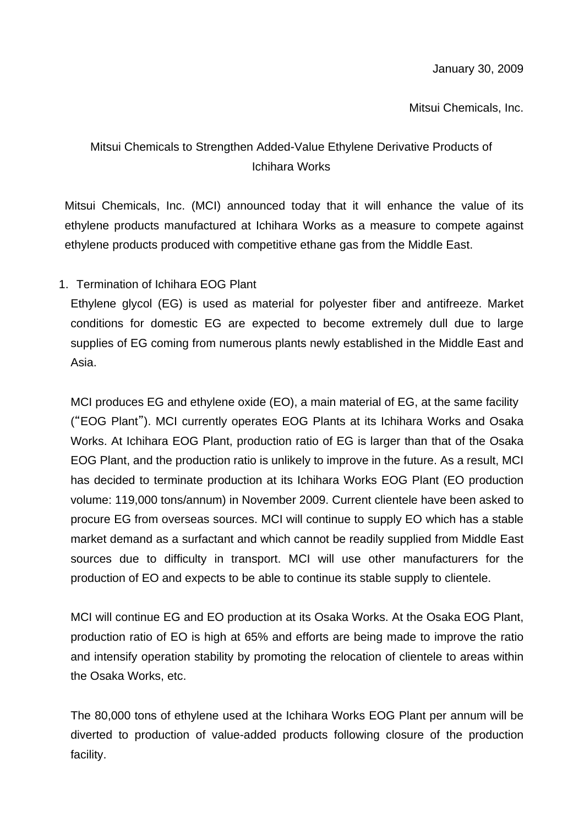Mitsui Chemicals, Inc.

## Mitsui Chemicals to Strengthen Added-Value Ethylene Derivative Products of Ichihara Works

Mitsui Chemicals, Inc. (MCI) announced today that it will enhance the value of its ethylene products manufactured at Ichihara Works as a measure to compete against ethylene products produced with competitive ethane gas from the Middle East.

1. Termination of Ichihara EOG Plant

Ethylene glycol (EG) is used as material for polyester fiber and antifreeze. Market conditions for domestic EG are expected to become extremely dull due to large supplies of EG coming from numerous plants newly established in the Middle East and Asia.

MCI produces EG and ethylene oxide (EO), a main material of EG, at the same facility ("EOG Plant"). MCI currently operates EOG Plants at its Ichihara Works and Osaka Works. At Ichihara EOG Plant, production ratio of EG is larger than that of the Osaka EOG Plant, and the production ratio is unlikely to improve in the future. As a result, MCI has decided to terminate production at its Ichihara Works EOG Plant (EO production volume: 119,000 tons/annum) in November 2009. Current clientele have been asked to procure EG from overseas sources. MCI will continue to supply EO which has a stable market demand as a surfactant and which cannot be readily supplied from Middle East sources due to difficulty in transport. MCI will use other manufacturers for the production of EO and expects to be able to continue its stable supply to clientele.

MCI will continue EG and EO production at its Osaka Works. At the Osaka EOG Plant, production ratio of EO is high at 65% and efforts are being made to improve the ratio and intensify operation stability by promoting the relocation of clientele to areas within the Osaka Works, etc.

The 80,000 tons of ethylene used at the Ichihara Works EOG Plant per annum will be diverted to production of value-added products following closure of the production facility.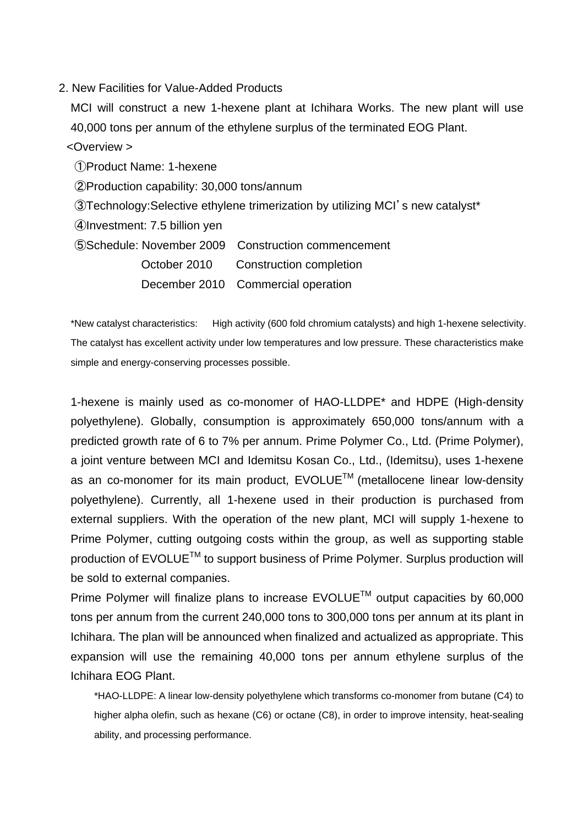## 2. New Facilities for Value-Added Products

MCI will construct a new 1-hexene plant at Ichihara Works. The new plant will use 40,000 tons per annum of the ethylene surplus of the terminated EOG Plant.

## <Overview >

①Product Name: 1-hexene

②Production capability: 30,000 tons/annum

③Technology:Selective ethylene trimerization by utilizing MCI's new catalyst\*

④Investment: 7.5 billion yen

⑤Schedule: November 2009 Construction commencement

October 2010 Construction completion

December 2010 Commercial operation

\*New catalyst characteristics: High activity (600 fold chromium catalysts) and high 1-hexene selectivity. The catalyst has excellent activity under low temperatures and low pressure. These characteristics make simple and energy-conserving processes possible.

1-hexene is mainly used as co-monomer of HAO-LLDPE\* and HDPE (High-density polyethylene). Globally, consumption is approximately 650,000 tons/annum with a predicted growth rate of 6 to 7% per annum. Prime Polymer Co., Ltd. (Prime Polymer), a joint venture between MCI and Idemitsu Kosan Co., Ltd., (Idemitsu), uses 1-hexene as an co-monomer for its main product,  $EVOLUE^{TM}$  (metallocene linear low-density polyethylene). Currently, all 1-hexene used in their production is purchased from external suppliers. With the operation of the new plant, MCI will supply 1-hexene to Prime Polymer, cutting outgoing costs within the group, as well as supporting stable production of EVOLUE™ to support business of Prime Polymer. Surplus production will be sold to external companies.

Prime Polymer will finalize plans to increase  $EVOLUE^{TM}$  output capacities by 60,000 tons per annum from the current 240,000 tons to 300,000 tons per annum at its plant in Ichihara. The plan will be announced when finalized and actualized as appropriate. This expansion will use the remaining 40,000 tons per annum ethylene surplus of the Ichihara EOG Plant.

\*HAO-LLDPE: A linear low-density polyethylene which transforms co-monomer from butane (C4) to higher alpha olefin, such as hexane (C6) or octane (C8), in order to improve intensity, heat-sealing ability, and processing performance.